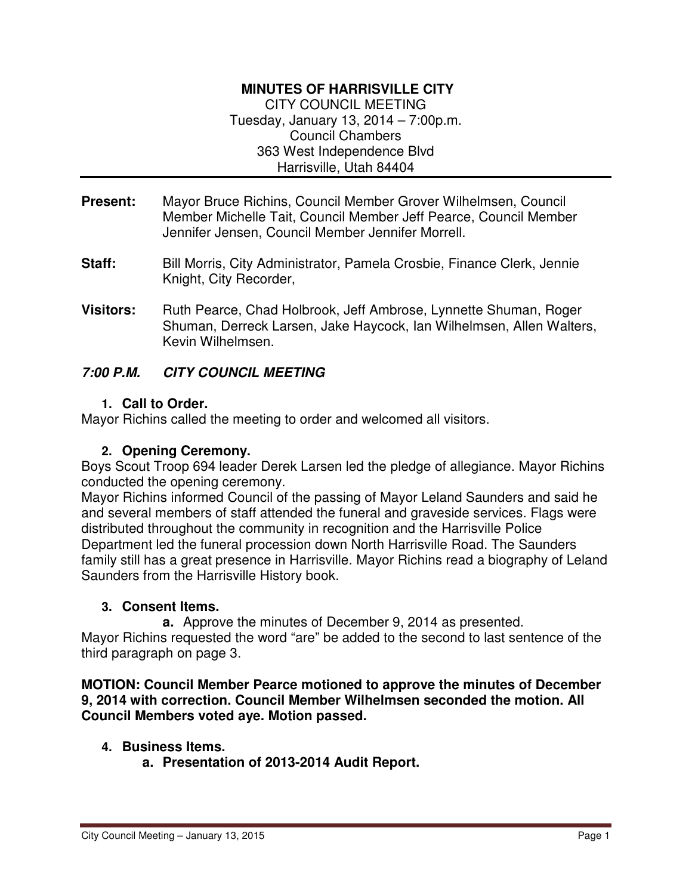#### **MINUTES OF HARRISVILLE CITY**

CITY COUNCIL MEETING Tuesday, January 13, 2014 – 7:00p.m. Council Chambers 363 West Independence Blvd Harrisville, Utah 84404

- **Present:** Mayor Bruce Richins, Council Member Grover Wilhelmsen, Council Member Michelle Tait, Council Member Jeff Pearce, Council Member Jennifer Jensen, Council Member Jennifer Morrell.
- **Staff:** Bill Morris, City Administrator, Pamela Crosbie, Finance Clerk, Jennie Knight, City Recorder,
- **Visitors:** Ruth Pearce, Chad Holbrook, Jeff Ambrose, Lynnette Shuman, Roger Shuman, Derreck Larsen, Jake Haycock, Ian Wilhelmsen, Allen Walters, Kevin Wilhelmsen.

#### **7:00 P.M. CITY COUNCIL MEETING**

#### **1. Call to Order.**

Mayor Richins called the meeting to order and welcomed all visitors.

#### **2. Opening Ceremony.**

Boys Scout Troop 694 leader Derek Larsen led the pledge of allegiance. Mayor Richins conducted the opening ceremony.

Mayor Richins informed Council of the passing of Mayor Leland Saunders and said he and several members of staff attended the funeral and graveside services. Flags were distributed throughout the community in recognition and the Harrisville Police Department led the funeral procession down North Harrisville Road. The Saunders family still has a great presence in Harrisville. Mayor Richins read a biography of Leland Saunders from the Harrisville History book.

#### **3. Consent Items.**

**a.** Approve the minutes of December 9, 2014 as presented.

Mayor Richins requested the word "are" be added to the second to last sentence of the third paragraph on page 3.

#### **MOTION: Council Member Pearce motioned to approve the minutes of December 9, 2014 with correction. Council Member Wilhelmsen seconded the motion. All Council Members voted aye. Motion passed.**

#### **4. Business Items.**

**a. Presentation of 2013-2014 Audit Report.**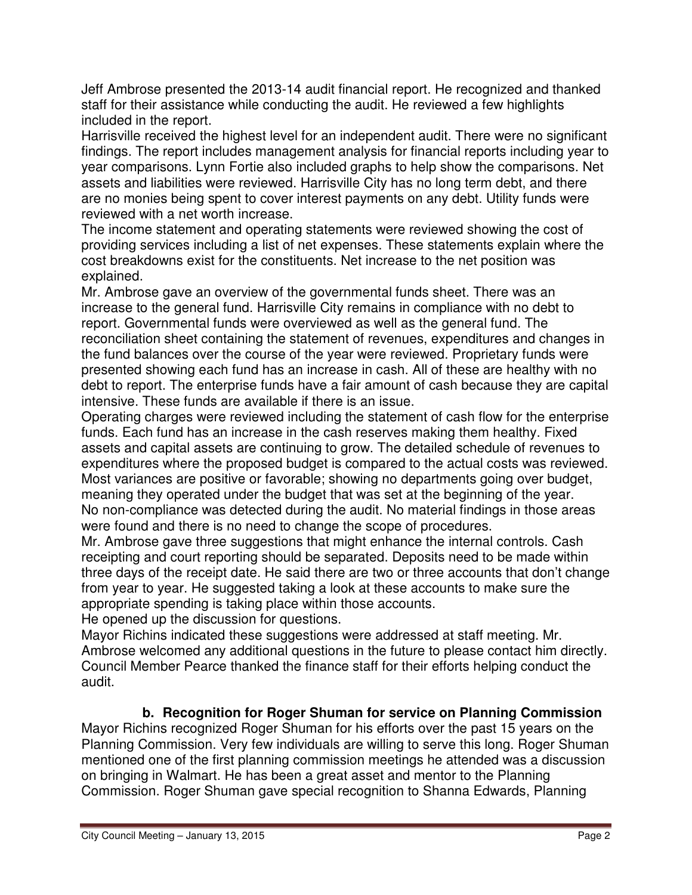Jeff Ambrose presented the 2013-14 audit financial report. He recognized and thanked staff for their assistance while conducting the audit. He reviewed a few highlights included in the report.

Harrisville received the highest level for an independent audit. There were no significant findings. The report includes management analysis for financial reports including year to year comparisons. Lynn Fortie also included graphs to help show the comparisons. Net assets and liabilities were reviewed. Harrisville City has no long term debt, and there are no monies being spent to cover interest payments on any debt. Utility funds were reviewed with a net worth increase.

The income statement and operating statements were reviewed showing the cost of providing services including a list of net expenses. These statements explain where the cost breakdowns exist for the constituents. Net increase to the net position was explained.

Mr. Ambrose gave an overview of the governmental funds sheet. There was an increase to the general fund. Harrisville City remains in compliance with no debt to report. Governmental funds were overviewed as well as the general fund. The reconciliation sheet containing the statement of revenues, expenditures and changes in the fund balances over the course of the year were reviewed. Proprietary funds were presented showing each fund has an increase in cash. All of these are healthy with no debt to report. The enterprise funds have a fair amount of cash because they are capital intensive. These funds are available if there is an issue.

Operating charges were reviewed including the statement of cash flow for the enterprise funds. Each fund has an increase in the cash reserves making them healthy. Fixed assets and capital assets are continuing to grow. The detailed schedule of revenues to expenditures where the proposed budget is compared to the actual costs was reviewed. Most variances are positive or favorable; showing no departments going over budget, meaning they operated under the budget that was set at the beginning of the year. No non-compliance was detected during the audit. No material findings in those areas were found and there is no need to change the scope of procedures.

Mr. Ambrose gave three suggestions that might enhance the internal controls. Cash receipting and court reporting should be separated. Deposits need to be made within three days of the receipt date. He said there are two or three accounts that don't change from year to year. He suggested taking a look at these accounts to make sure the appropriate spending is taking place within those accounts.

He opened up the discussion for questions.

Mayor Richins indicated these suggestions were addressed at staff meeting. Mr. Ambrose welcomed any additional questions in the future to please contact him directly. Council Member Pearce thanked the finance staff for their efforts helping conduct the audit.

# **b. Recognition for Roger Shuman for service on Planning Commission**

Mayor Richins recognized Roger Shuman for his efforts over the past 15 years on the Planning Commission. Very few individuals are willing to serve this long. Roger Shuman mentioned one of the first planning commission meetings he attended was a discussion on bringing in Walmart. He has been a great asset and mentor to the Planning Commission. Roger Shuman gave special recognition to Shanna Edwards, Planning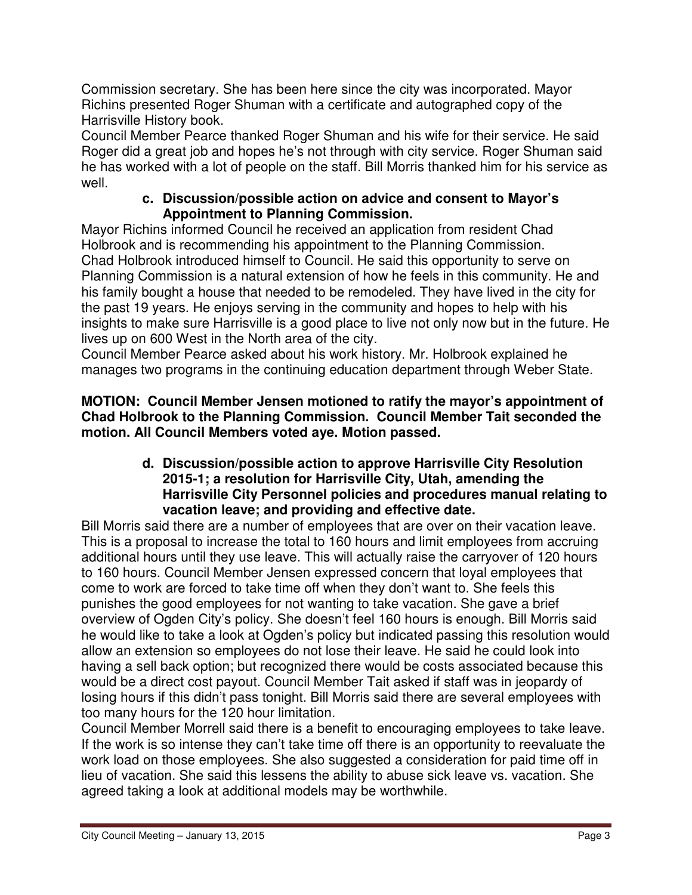Commission secretary. She has been here since the city was incorporated. Mayor Richins presented Roger Shuman with a certificate and autographed copy of the Harrisville History book.

Council Member Pearce thanked Roger Shuman and his wife for their service. He said Roger did a great job and hopes he's not through with city service. Roger Shuman said he has worked with a lot of people on the staff. Bill Morris thanked him for his service as well.

## **c. Discussion/possible action on advice and consent to Mayor's Appointment to Planning Commission.**

Mayor Richins informed Council he received an application from resident Chad Holbrook and is recommending his appointment to the Planning Commission. Chad Holbrook introduced himself to Council. He said this opportunity to serve on Planning Commission is a natural extension of how he feels in this community. He and his family bought a house that needed to be remodeled. They have lived in the city for the past 19 years. He enjoys serving in the community and hopes to help with his insights to make sure Harrisville is a good place to live not only now but in the future. He lives up on 600 West in the North area of the city.

Council Member Pearce asked about his work history. Mr. Holbrook explained he manages two programs in the continuing education department through Weber State.

**MOTION: Council Member Jensen motioned to ratify the mayor's appointment of Chad Holbrook to the Planning Commission. Council Member Tait seconded the motion. All Council Members voted aye. Motion passed.** 

## **d. Discussion/possible action to approve Harrisville City Resolution 2015-1; a resolution for Harrisville City, Utah, amending the Harrisville City Personnel policies and procedures manual relating to vacation leave; and providing and effective date.**

Bill Morris said there are a number of employees that are over on their vacation leave. This is a proposal to increase the total to 160 hours and limit employees from accruing additional hours until they use leave. This will actually raise the carryover of 120 hours to 160 hours. Council Member Jensen expressed concern that loyal employees that come to work are forced to take time off when they don't want to. She feels this punishes the good employees for not wanting to take vacation. She gave a brief overview of Ogden City's policy. She doesn't feel 160 hours is enough. Bill Morris said he would like to take a look at Ogden's policy but indicated passing this resolution would allow an extension so employees do not lose their leave. He said he could look into having a sell back option; but recognized there would be costs associated because this would be a direct cost payout. Council Member Tait asked if staff was in jeopardy of losing hours if this didn't pass tonight. Bill Morris said there are several employees with too many hours for the 120 hour limitation.

Council Member Morrell said there is a benefit to encouraging employees to take leave. If the work is so intense they can't take time off there is an opportunity to reevaluate the work load on those employees. She also suggested a consideration for paid time off in lieu of vacation. She said this lessens the ability to abuse sick leave vs. vacation. She agreed taking a look at additional models may be worthwhile.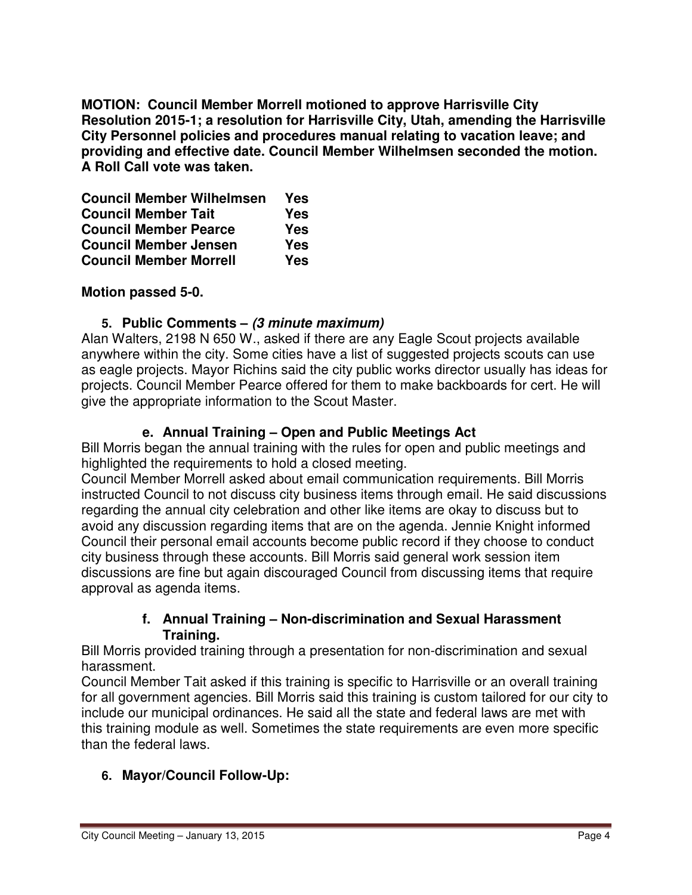**MOTION: Council Member Morrell motioned to approve Harrisville City Resolution 2015-1; a resolution for Harrisville City, Utah, amending the Harrisville City Personnel policies and procedures manual relating to vacation leave; and providing and effective date. Council Member Wilhelmsen seconded the motion. A Roll Call vote was taken.** 

| <b>Council Member Wilhelmsen</b> | Yes        |
|----------------------------------|------------|
| <b>Council Member Tait</b>       | <b>Yes</b> |
| <b>Council Member Pearce</b>     | <b>Yes</b> |
| <b>Council Member Jensen</b>     | Yes        |
| <b>Council Member Morrell</b>    | <b>Yes</b> |

**Motion passed 5-0.** 

## **5. Public Comments – (3 minute maximum)**

Alan Walters, 2198 N 650 W., asked if there are any Eagle Scout projects available anywhere within the city. Some cities have a list of suggested projects scouts can use as eagle projects. Mayor Richins said the city public works director usually has ideas for projects. Council Member Pearce offered for them to make backboards for cert. He will give the appropriate information to the Scout Master.

## **e. Annual Training – Open and Public Meetings Act**

Bill Morris began the annual training with the rules for open and public meetings and highlighted the requirements to hold a closed meeting.

Council Member Morrell asked about email communication requirements. Bill Morris instructed Council to not discuss city business items through email. He said discussions regarding the annual city celebration and other like items are okay to discuss but to avoid any discussion regarding items that are on the agenda. Jennie Knight informed Council their personal email accounts become public record if they choose to conduct city business through these accounts. Bill Morris said general work session item discussions are fine but again discouraged Council from discussing items that require approval as agenda items.

## **f. Annual Training – Non-discrimination and Sexual Harassment Training.**

Bill Morris provided training through a presentation for non-discrimination and sexual harassment.

Council Member Tait asked if this training is specific to Harrisville or an overall training for all government agencies. Bill Morris said this training is custom tailored for our city to include our municipal ordinances. He said all the state and federal laws are met with this training module as well. Sometimes the state requirements are even more specific than the federal laws.

## **6. Mayor/Council Follow-Up:**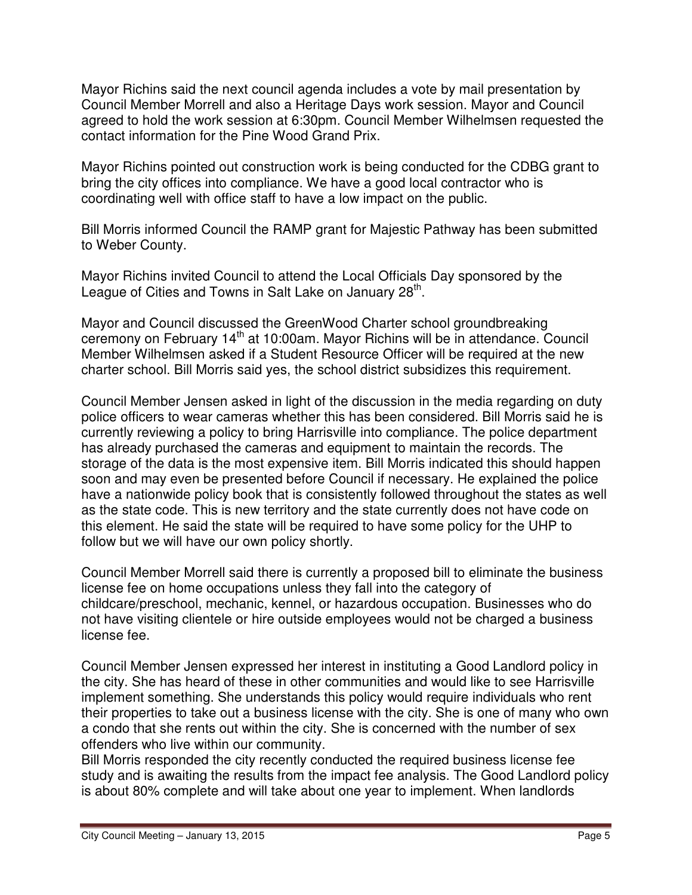Mayor Richins said the next council agenda includes a vote by mail presentation by Council Member Morrell and also a Heritage Days work session. Mayor and Council agreed to hold the work session at 6:30pm. Council Member Wilhelmsen requested the contact information for the Pine Wood Grand Prix.

Mayor Richins pointed out construction work is being conducted for the CDBG grant to bring the city offices into compliance. We have a good local contractor who is coordinating well with office staff to have a low impact on the public.

Bill Morris informed Council the RAMP grant for Majestic Pathway has been submitted to Weber County.

Mayor Richins invited Council to attend the Local Officials Day sponsored by the League of Cities and Towns in Salt Lake on January 28<sup>th</sup>.

Mayor and Council discussed the GreenWood Charter school groundbreaking ceremony on February  $14<sup>th</sup>$  at 10:00am. Mayor Richins will be in attendance. Council Member Wilhelmsen asked if a Student Resource Officer will be required at the new charter school. Bill Morris said yes, the school district subsidizes this requirement.

Council Member Jensen asked in light of the discussion in the media regarding on duty police officers to wear cameras whether this has been considered. Bill Morris said he is currently reviewing a policy to bring Harrisville into compliance. The police department has already purchased the cameras and equipment to maintain the records. The storage of the data is the most expensive item. Bill Morris indicated this should happen soon and may even be presented before Council if necessary. He explained the police have a nationwide policy book that is consistently followed throughout the states as well as the state code. This is new territory and the state currently does not have code on this element. He said the state will be required to have some policy for the UHP to follow but we will have our own policy shortly.

Council Member Morrell said there is currently a proposed bill to eliminate the business license fee on home occupations unless they fall into the category of childcare/preschool, mechanic, kennel, or hazardous occupation. Businesses who do not have visiting clientele or hire outside employees would not be charged a business license fee.

Council Member Jensen expressed her interest in instituting a Good Landlord policy in the city. She has heard of these in other communities and would like to see Harrisville implement something. She understands this policy would require individuals who rent their properties to take out a business license with the city. She is one of many who own a condo that she rents out within the city. She is concerned with the number of sex offenders who live within our community.

Bill Morris responded the city recently conducted the required business license fee study and is awaiting the results from the impact fee analysis. The Good Landlord policy is about 80% complete and will take about one year to implement. When landlords